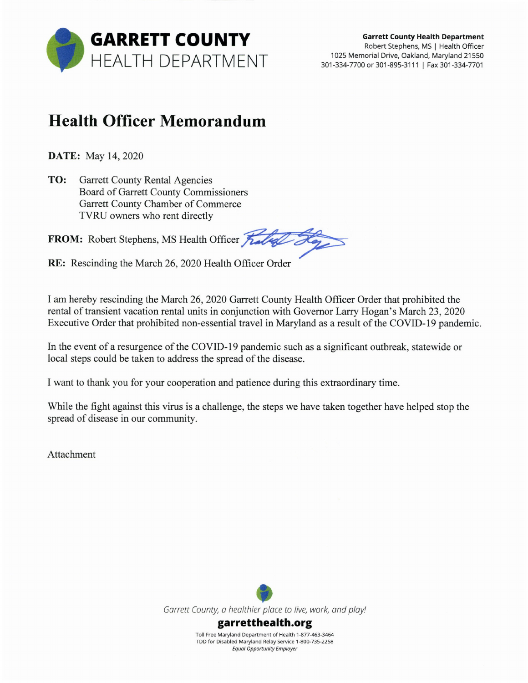

## **Health Officer Memorandum**

**DATE:** May 14, 2020

TO: **Garrett County Rental Agencies** Board of Garrett County Commissioners Garrett County Chamber of Commerce TVRU owners who rent directly

FROM: Robert Stephens, MS Health Officer

RE: Rescinding the March 26, 2020 Health Officer Order

I am hereby rescinding the March 26, 2020 Garrett County Health Officer Order that prohibited the rental of transient vacation rental units in conjunction with Governor Larry Hogan's March 23, 2020 Executive Order that prohibited non-essential travel in Maryland as a result of the COVID-19 pandemic.

In the event of a resurgence of the COVID-19 pandemic such as a significant outbreak, statewide or local steps could be taken to address the spread of the disease.

I want to thank you for your cooperation and patience during this extraordinary time.

While the fight against this virus is a challenge, the steps we have taken together have helped stop the spread of disease in our community.

**Attachment** 

Garrett County, a healthier place to live, work, and play!

garretthealth.org

Toll Free Maryland Department of Health 1-877-463-3464 TDD for Disabled Maryland Relay Service 1-800-735-2258 **Equal Opportunity Employer**